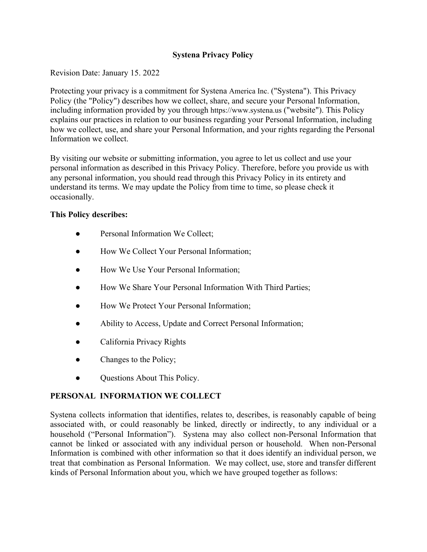## **Systena Privacy Policy**

Revision Date: January 15. 2022

Protecting your privacy is a commitment for Systena America Inc. ("Systena"). This Privacy Policy (the "Policy") describes how we collect, share, and secure your Personal Information, including information provided by you through https://www.systena.us ("website"). This Policy explains our practices in relation to our business regarding your Personal Information, including how we collect, use, and share your Personal Information, and your rights regarding the Personal Information we collect.

By visiting our website or submitting information, you agree to let us collect and use your personal information as described in this Privacy Policy. Therefore, before you provide us with any personal information, you should read through this Privacy Policy in its entirety and understand its terms. We may update the Policy from time to time, so please check it occasionally.

## **This Policy describes:**

- Personal Information We Collect;
- How We Collect Your Personal Information;
- How We Use Your Personal Information;
- How We Share Your Personal Information With Third Parties;
- How We Protect Your Personal Information;
- Ability to Access, Update and Correct Personal Information;
- California Privacy Rights
- Changes to the Policy;
- Questions About This Policy.

# **PERSONAL INFORMATION WE COLLECT**

Systena collects information that identifies, relates to, describes, is reasonably capable of being associated with, or could reasonably be linked, directly or indirectly, to any individual or a household ("Personal Information"). Systena may also collect non-Personal Information that cannot be linked or associated with any individual person or household. When non-Personal Information is combined with other information so that it does identify an individual person, we treat that combination as Personal Information. We may collect, use, store and transfer different kinds of Personal Information about you, which we have grouped together as follows: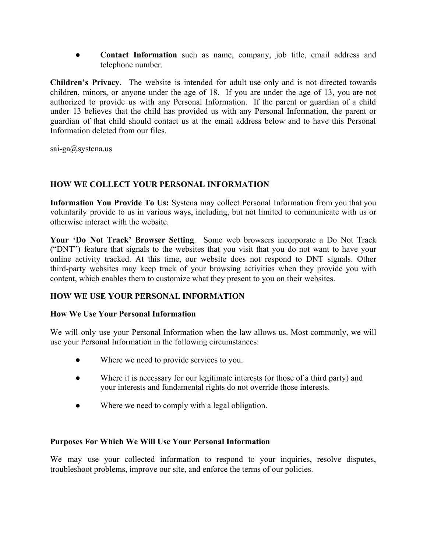● **Contact Information** such as name, company, job title, email address and telephone number.

**Children's Privacy**. The website is intended for adult use only and is not directed towards children, minors, or anyone under the age of 18. If you are under the age of 13, you are not authorized to provide us with any Personal Information. If the parent or guardian of a child under 13 believes that the child has provided us with any Personal Information, the parent or guardian of that child should contact us at the email address below and to have this Personal Information deleted from our files.

sai-ga@systena.us

# **HOW WE COLLECT YOUR PERSONAL INFORMATION**

**Information You Provide To Us:** Systena may collect Personal Information from you that you voluntarily provide to us in various ways, including, but not limited to communicate with us or otherwise interact with the website.

**Your 'Do Not Track' Browser Setting**. Some web browsers incorporate a Do Not Track ("DNT") feature that signals to the websites that you visit that you do not want to have your online activity tracked. At this time, our website does not respond to DNT signals. Other third-party websites may keep track of your browsing activities when they provide you with content, which enables them to customize what they present to you on their websites.

# **HOW WE USE YOUR PERSONAL INFORMATION**

## **How We Use Your Personal Information**

We will only use your Personal Information when the law allows us. Most commonly, we will use your Personal Information in the following circumstances:

- Where we need to provide services to you.
- Where it is necessary for our legitimate interests (or those of a third party) and your interests and fundamental rights do not override those interests.
- Where we need to comply with a legal obligation.

## **Purposes For Which We Will Use Your Personal Information**

We may use your collected information to respond to your inquiries, resolve disputes, troubleshoot problems, improve our site, and enforce the terms of our policies.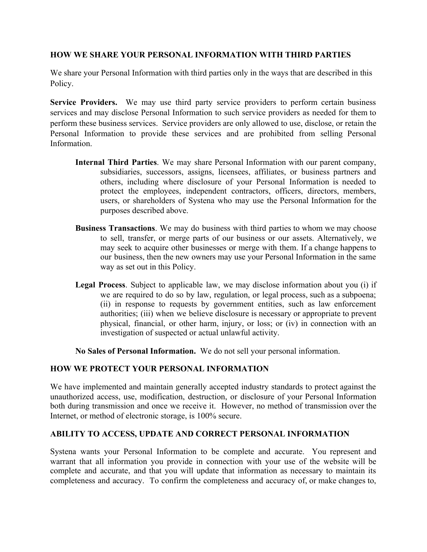#### **HOW WE SHARE YOUR PERSONAL INFORMATION WITH THIRD PARTIES**

We share your Personal Information with third parties only in the ways that are described in this Policy.

**Service Providers.** We may use third party service providers to perform certain business services and may disclose Personal Information to such service providers as needed for them to perform these business services. Service providers are only allowed to use, disclose, or retain the Personal Information to provide these services and are prohibited from selling Personal Information.

- **Internal Third Parties**. We may share Personal Information with our parent company, subsidiaries, successors, assigns, licensees, affiliates, or business partners and others, including where disclosure of your Personal Information is needed to protect the employees, independent contractors, officers, directors, members, users, or shareholders of Systena who may use the Personal Information for the purposes described above.
- **Business Transactions**. We may do business with third parties to whom we may choose to sell, transfer, or merge parts of our business or our assets. Alternatively, we may seek to acquire other businesses or merge with them. If a change happens to our business, then the new owners may use your Personal Information in the same way as set out in this Policy.
- **Legal Process**. Subject to applicable law, we may disclose information about you (i) if we are required to do so by law, regulation, or legal process, such as a subpoena; (ii) in response to requests by government entities, such as law enforcement authorities; (iii) when we believe disclosure is necessary or appropriate to prevent physical, financial, or other harm, injury, or loss; or (iv) in connection with an investigation of suspected or actual unlawful activity.

**No Sales of Personal Information.** We do not sell your personal information.

## **HOW WE PROTECT YOUR PERSONAL INFORMATION**

We have implemented and maintain generally accepted industry standards to protect against the unauthorized access, use, modification, destruction, or disclosure of your Personal Information both during transmission and once we receive it. However, no method of transmission over the Internet, or method of electronic storage, is 100% secure.

## **ABILITY TO ACCESS, UPDATE AND CORRECT PERSONAL INFORMATION**

Systena wants your Personal Information to be complete and accurate. You represent and warrant that all information you provide in connection with your use of the website will be complete and accurate, and that you will update that information as necessary to maintain its completeness and accuracy. To confirm the completeness and accuracy of, or make changes to,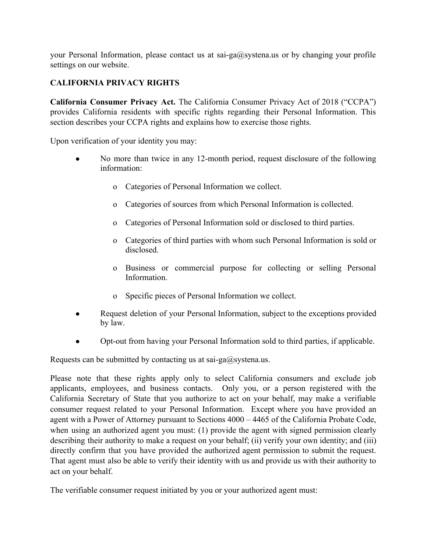your Personal Information, please contact us at sai-ga@systena.us or by changing your profile settings on our website.

# **CALIFORNIA PRIVACY RIGHTS**

**California Consumer Privacy Act.** The California Consumer Privacy Act of 2018 ("CCPA") provides California residents with specific rights regarding their Personal Information. This section describes your CCPA rights and explains how to exercise those rights.

Upon verification of your identity you may:

- No more than twice in any 12-month period, request disclosure of the following information:
	- o Categories of Personal Information we collect.
	- o Categories of sources from which Personal Information is collected.
	- o Categories of Personal Information sold or disclosed to third parties.
	- o Categories of third parties with whom such Personal Information is sold or disclosed.
	- o Business or commercial purpose for collecting or selling Personal Information.
	- o Specific pieces of Personal Information we collect.
- Request deletion of your Personal Information, subject to the exceptions provided by law.
- Opt-out from having your Personal Information sold to third parties, if applicable.

Requests can be submitted by contacting us at sai-ga@systena.us.

Please note that these rights apply only to select California consumers and exclude job applicants, employees, and business contacts. Only you, or a person registered with the California Secretary of State that you authorize to act on your behalf, may make a verifiable consumer request related to your Personal Information. Except where you have provided an agent with a Power of Attorney pursuant to Sections 4000 – 4465 of the California Probate Code, when using an authorized agent you must: (1) provide the agent with signed permission clearly describing their authority to make a request on your behalf; (ii) verify your own identity; and (iii) directly confirm that you have provided the authorized agent permission to submit the request. That agent must also be able to verify their identity with us and provide us with their authority to act on your behalf.

The verifiable consumer request initiated by you or your authorized agent must: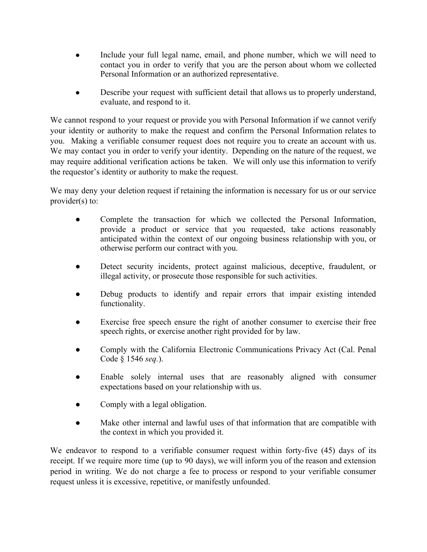- Include your full legal name, email, and phone number, which we will need to contact you in order to verify that you are the person about whom we collected Personal Information or an authorized representative.
- Describe your request with sufficient detail that allows us to properly understand, evaluate, and respond to it.

We cannot respond to your request or provide you with Personal Information if we cannot verify your identity or authority to make the request and confirm the Personal Information relates to you. Making a verifiable consumer request does not require you to create an account with us. We may contact you in order to verify your identity. Depending on the nature of the request, we may require additional verification actions be taken. We will only use this information to verify the requestor's identity or authority to make the request.

We may deny your deletion request if retaining the information is necessary for us or our service provider(s) to:

- Complete the transaction for which we collected the Personal Information, provide a product or service that you requested, take actions reasonably anticipated within the context of our ongoing business relationship with you, or otherwise perform our contract with you.
- Detect security incidents, protect against malicious, deceptive, fraudulent, or illegal activity, or prosecute those responsible for such activities.
- Debug products to identify and repair errors that impair existing intended functionality.
- Exercise free speech ensure the right of another consumer to exercise their free speech rights, or exercise another right provided for by law.
- Comply with the California Electronic Communications Privacy Act (Cal. Penal) Code § 1546 *seq.*).
- Enable solely internal uses that are reasonably aligned with consumer expectations based on your relationship with us.
- Comply with a legal obligation.
- Make other internal and lawful uses of that information that are compatible with the context in which you provided it.

We endeavor to respond to a verifiable consumer request within forty-five (45) days of its receipt. If we require more time (up to 90 days), we will inform you of the reason and extension period in writing. We do not charge a fee to process or respond to your verifiable consumer request unless it is excessive, repetitive, or manifestly unfounded.